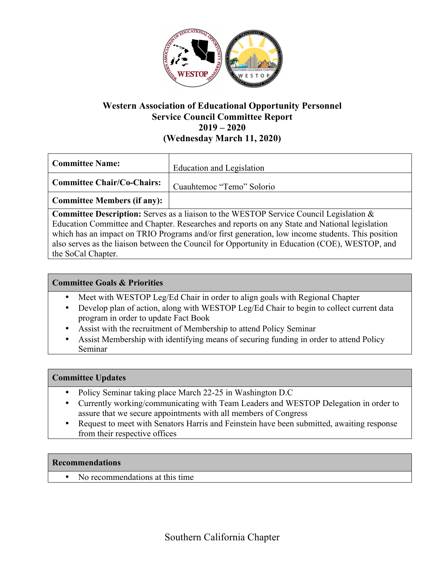

# **Western Association of Educational Opportunity Personnel Service Council Committee Report 2019 – 2020 (Wednesday March 11, 2020)**

| <b>Committee Name:</b>            | Education and Legislation |
|-----------------------------------|---------------------------|
| <b>Committee Chair/Co-Chairs:</b> | Cuauhtemoc "Temo" Solorio |
| Committee Members (if any):       |                           |

**Committee Description:** Serves as a liaison to the WESTOP Service Council Legislation & Education Committee and Chapter. Researches and reports on any State and National legislation which has an impact on TRIO Programs and/or first generation, low income students. This position also serves as the liaison between the Council for Opportunity in Education (COE), WESTOP, and the SoCal Chapter.

### **Committee Goals & Priorities**

- Meet with WESTOP Leg/Ed Chair in order to align goals with Regional Chapter
- Develop plan of action, along with WESTOP Leg/Ed Chair to begin to collect current data program in order to update Fact Book
- Assist with the recruitment of Membership to attend Policy Seminar
- Assist Membership with identifying means of securing funding in order to attend Policy Seminar

#### **Committee Updates**

- Policy Seminar taking place March 22-25 in Washington D.C
- Currently working/communicating with Team Leaders and WESTOP Delegation in order to assure that we secure appointments with all members of Congress
- Request to meet with Senators Harris and Feinstein have been submitted, awaiting response from their respective offices

#### **Recommendations**

• No recommendations at this time